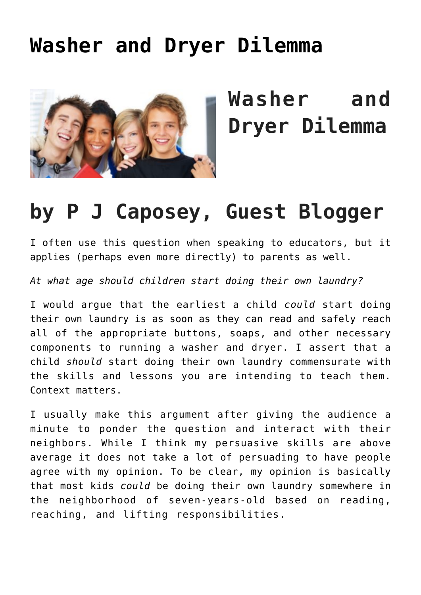## **[Washer and Dryer Dilemma](https://genparenting.com/kids-age-for-washer-and-dryer/)**



## **Washer and Dryer Dilemma**

# **by P J Caposey, Guest Blogger**

I often use this question when speaking to educators, but it applies (perhaps even more directly) to parents as well.

*At what age should children start doing their own laundry?*

I would argue that the earliest a child *could* start doing their own laundry is as soon as they can read and safely reach all of the appropriate buttons, soaps, and other necessary components to running a washer and dryer. I assert that a child *should* start doing their own laundry commensurate with the skills and lessons you are intending to teach them. Context matters.

I usually make this argument after giving the audience a minute to ponder the question and interact with their neighbors. While I think my persuasive skills are above average it does not take a lot of persuading to have people agree with my opinion. To be clear, my opinion is basically that most kids *could* be doing their own laundry somewhere in the neighborhood of seven-years-old based on reading, reaching, and lifting responsibilities.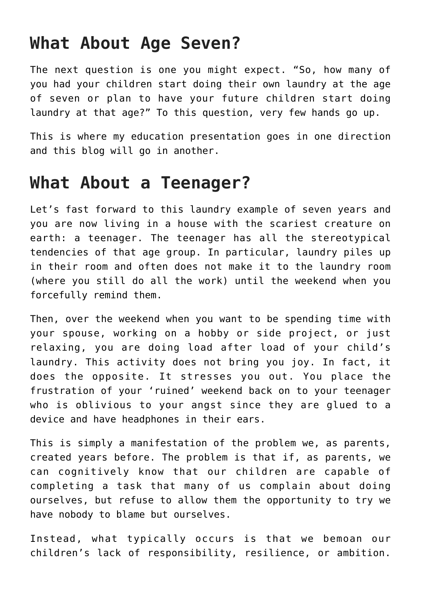#### **What About Age Seven?**

The next question is one you might expect. "So, how many of you had your children start doing their own laundry at the age of seven or plan to have your future children start doing laundry at that age?" To this question, very few hands go up.

This is where my education presentation goes in one direction and this blog will go in another.

#### **What About a Teenager?**

Let's fast forward to this laundry example of seven years and you are now living in a house with the scariest creature on earth: a teenager. The teenager has all the stereotypical tendencies of that age group. In particular, laundry piles up in their room and often does not make it to the laundry room (where you still do all the work) until the weekend when you forcefully remind them.

Then, over the weekend when you want to be spending time with your spouse, working on a hobby or side project, or just relaxing, you are doing load after load of your child's laundry. This activity does not bring you joy. In fact, it does the opposite. It stresses you out. You place the frustration of your 'ruined' weekend back on to your teenager who is oblivious to your angst since they are glued to a device and have headphones in their ears.

This is simply a manifestation of the problem we, as parents, created years before. The problem is that if, as parents, we can cognitively know that our children are capable of completing a task that many of us complain about doing ourselves, but refuse to allow them the opportunity to try we have nobody to blame but ourselves.

Instead, what typically occurs is that we bemoan our children's lack of responsibility, resilience, or ambition.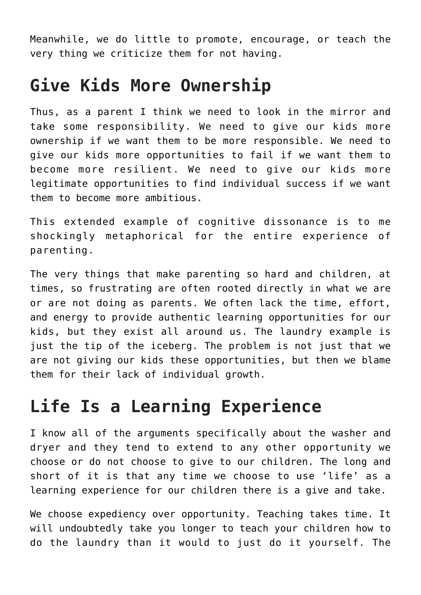Meanwhile, we do little to promote, encourage, or teach the very thing we criticize them for not having.

#### **Give Kids More Ownership**

Thus, as a parent I think we need to look in the mirror and take some responsibility. We need to give our kids more ownership if we want them to be more responsible. We need to give our kids more opportunities to fail if we want them to become more resilient. We need to give our kids more legitimate opportunities to find individual success if we want them to become more ambitious.

This extended example of cognitive dissonance is to me shockingly metaphorical for the entire experience of parenting.

The very things that make parenting so hard and children, at times, so frustrating are often rooted directly in what we are or are not doing as parents. We often lack the time, effort, and energy to provide authentic learning opportunities for our kids, but they exist all around us. The laundry example is just the tip of the iceberg. The problem is not just that we are not giving our kids these opportunities, but then we blame them for their lack of individual growth.

## **Life Is a Learning Experience**

I know all of the arguments specifically about the washer and dryer and they tend to extend to any other opportunity we choose or do not choose to give to our children. The long and short of it is that any time we choose to use 'life' as a learning experience for our children there is a give and take.

We choose expediency over opportunity. Teaching takes time. It will undoubtedly take you longer to teach your children how to do the laundry than it would to just do it yourself. The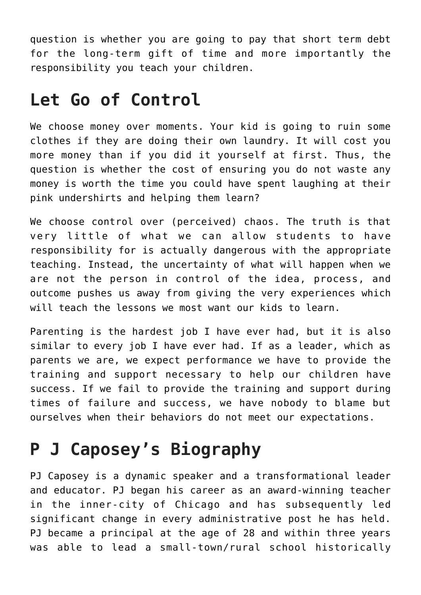question is whether you are going to pay that short term debt for the long-term gift of time and more importantly the responsibility you teach your children.

### **Let Go of Control**

We choose money over moments. Your kid is going to ruin some clothes if they are doing their own laundry. It will cost you more money than if you did it yourself at first. Thus, the question is whether the cost of ensuring you do not waste any money is worth the time you could have spent laughing at their pink undershirts and helping them learn?

We choose control over (perceived) chaos. The truth is that very little of what we can allow students to have responsibility for is actually dangerous with the appropriate teaching. Instead, the uncertainty of what will happen when we are not the person in control of the idea, process, and outcome pushes us away from giving the very experiences which will teach the lessons we most want our kids to learn.

Parenting is the hardest job I have ever had, but it is also similar to every job I have ever had. If as a leader, which as parents we are, we expect performance we have to provide the training and support necessary to help our children have success. If we fail to provide the training and support during times of failure and success, we have nobody to blame but ourselves when their behaviors do not meet our expectations.

### **P J Caposey's Biography**

PJ Caposey is a dynamic speaker and a transformational leader and educator. PJ began his career as an award-winning teacher in the inner-city of Chicago and has subsequently led significant change in every administrative post he has held. PJ became a principal at the age of 28 and within three years was able to lead a small-town/rural school historically